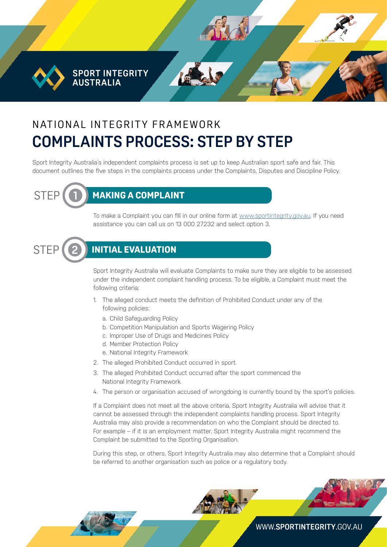**SPORT INTEGRITY AUSTRALIA** 

# N AT IONAL INTEGRITY FRAMEWORK **COMPLAINTS PROCESS: STEP BY STEP**

Sport Integrity Australia's independent complaints process is set up to keep Australian sport safe and fair. This document outlines the five steps in the complaints process under the Complaints, Disputes and Discipline Policy.



## STEP **1 MAKING A COMPLAINT**

To make a Complaint you can fill in our online form at [www.sportintegrity.gov.au](https://www.sportintegrity.gov.au/contact-us/make-an-integrity-complaint-or-report). If you need assistance you can call us on 13 000 27232 and select option 3.



### $\text{STEP}\left(\texttt{(2)}\right)$  initial evaluation

Sport Integrity Australia will evaluate Complaints to make sure they are eligible to be assessed under the independent complaint handling process. To be eligible, a Complaint must meet the following criteria:

- 1. The alleged conduct meets the definition of Prohibited Conduct under any of the following policies:
	- a. Child Safeguarding Policy
	- b. Competition Manipulation and Sports Wagering Policy
	- c. Improper Use of Drugs and Medicines Policy
	- d. Member Protection Policy
	- e. National Integrity Framework
- 2. The alleged Prohibited Conduct occurred in sport.
- 3. The alleged Prohibited Conduct occurred after the sport commenced the National Integrity Framework.
- 4. The person or organisation accused of wrongdoing is currently bound by the sport's policies.

If a Complaint does not meet all the above criteria, Sport Integrity Australia will advise that it cannot be assessed through the independent complaints handling process. Sport Integrity Australia may also provide a recommendation on who the Complaint should be directed to. For example – if it is an employment matter, Sport Integrity Australia might recommend the Complaint be submitted to the Sporting Organisation.

During this step, or others, Sport Integrity Australia may also determine that a Complaint should be referred to another organisation such as police or a regulatory body.

WWW.**[SPORTINTEGRITY](http://www.sportintegrity.gov.au)**.GOV.AU